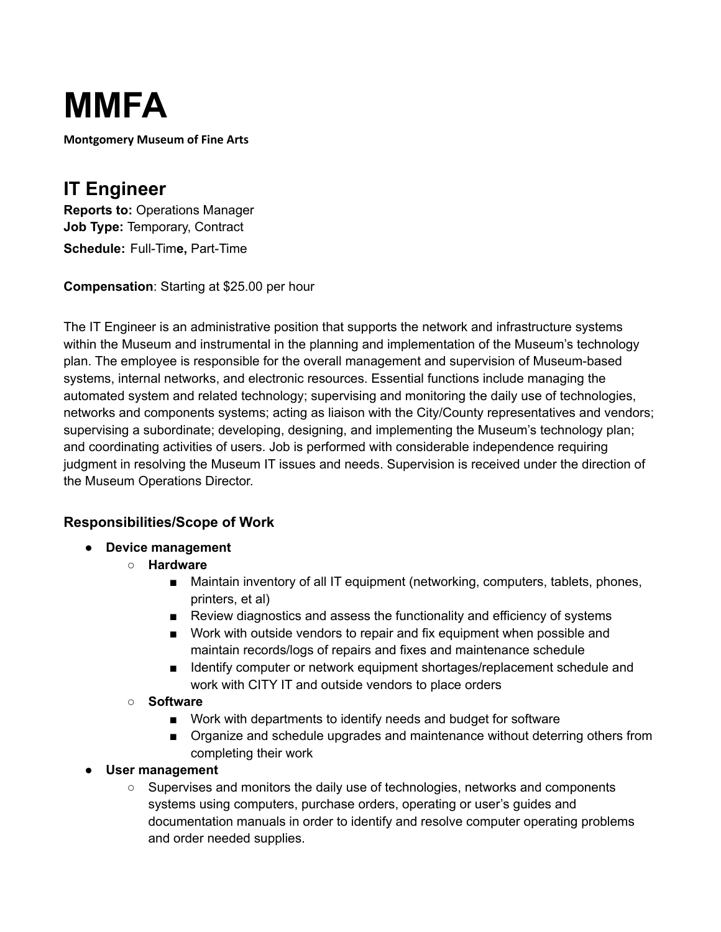

**Montgomery Museum of Fine Arts**

## **IT Engineer**

**Reports to:** Operations Manager **Job Type:** Temporary, Contract **Schedule:** Full-Tim**e,** Part-Time

**Compensation**: Starting at \$25.00 per hour

The IT Engineer is an administrative position that supports the network and infrastructure systems within the Museum and instrumental in the planning and implementation of the Museum's technology plan. The employee is responsible for the overall management and supervision of Museum-based systems, internal networks, and electronic resources. Essential functions include managing the automated system and related technology; supervising and monitoring the daily use of technologies, networks and components systems; acting as liaison with the City/County representatives and vendors; supervising a subordinate; developing, designing, and implementing the Museum's technology plan; and coordinating activities of users. Job is performed with considerable independence requiring judgment in resolving the Museum IT issues and needs. Supervision is received under the direction of the Museum Operations Director.

## **Responsibilities/Scope of Work**

- **● Device management**
	- **○ Hardware**
		- Maintain inventory of all IT equipment (networking, computers, tablets, phones, printers, et al)
		- Review diagnostics and assess the functionality and efficiency of systems
		- Work with outside vendors to repair and fix equipment when possible and maintain records/logs of repairs and fixes and maintenance schedule
		- Identify computer or network equipment shortages/replacement schedule and work with CITY IT and outside vendors to place orders
	- **○ Software**
		- Work with departments to identify needs and budget for software
		- Organize and schedule upgrades and maintenance without deterring others from completing their work
- **User management**
	- Supervises and monitors the daily use of technologies, networks and components systems using computers, purchase orders, operating or user's guides and documentation manuals in order to identify and resolve computer operating problems and order needed supplies.